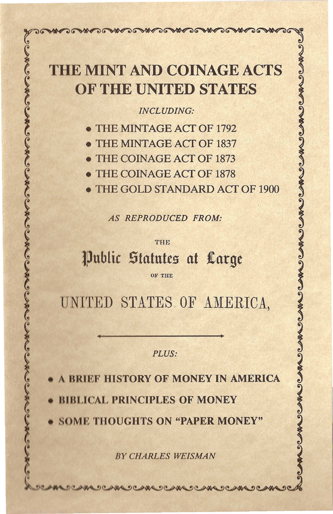## THE MINT AND COINAGE ACTS OF THE UNITED STATES

**MARIO MARIO** 

WAS

 $\sqrt{2\pi}$ 

~~~~~~~~~~

## *~ INCLUDING: 2*

- 
- THE MINTAGE ACT OF 1837
	- THE COINAGE ACT OF 1873
	- THE COINAGE ACT OF 1878
- THE MINTAGE ACT OF 1792<br>
THE MINTAGE ACT OF 1837<br>
THE COINAGE ACT OF 1873<br>
THE COINAGE ACT OF 1878<br>
THE GOLD STANDARD ACT OF 1900<br>
AS REPRODUCED FROM: THE GOLD STANDARD ACT OF 1900

*~ AS REPRODUCED FROM, ~*

<sup>~</sup> <sup>2</sup> <sup>~</sup> THE <sup>3</sup>

## lPllblic Statntts at *1Latgt*

 $\sum_{i=1}^{N}$  . The set of the set of the set of the set of the set of the set of the set of the set of the set of the set of the set of the set of the set of the set of the set of the set of the set of the set of the set

UNITED STATES OF AMERICA,

*PLUS: 2*

A BRIEF HISTORY OF MONEY IN AMERICA

**BIBLICAL PRINCIPLES OF MONEY** 

**SOME THOUGHTS ON "PAPER MONEY"** 

.~~~~~~~

**BY CHARLES WEISMAN** 

~

~

~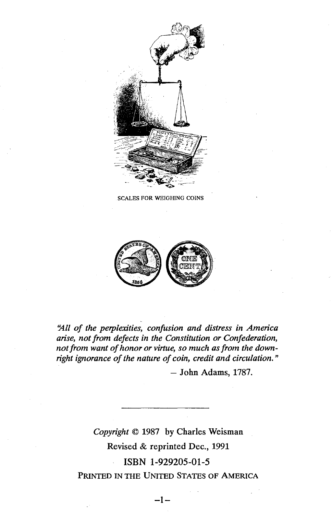

**SCALES FOR WEIGHING COINS** 



*'jill of the perplexities, confusion and distress in America arise, not from defects in the Constitution or Confederation, not from want of honor or virtue, so much asfrom the downright ignorance of the nature of coin, credit and circulation. "*

- John Adams, 1787.

*Copyright* © 1987 by Charles Weisman Revised & reprinted Dec., 1991 ISBN 1-929205-01-5 PRINTED IN THE UNITED STATES OF AMERICA

-1-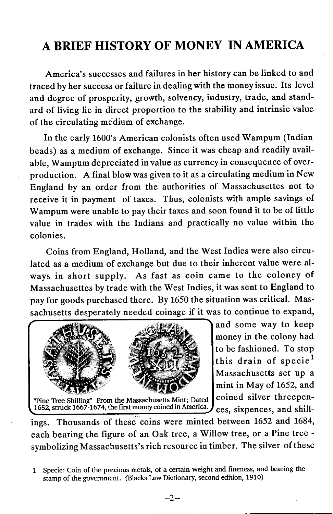## A BRIEF HISTORY OF MONEY IN AMERICA

America's successes and failures in her history can be linked to and traced by her success or failure in dealing with the money issue. Its level and degree of prosperity, growth, solvency, industry, trade, and standard of living lie in direct proportion to the stability and intrinsic value of the circulating medium of exchange.

**In** the early 1600's American colonists often used Wampum (Indian beads) as a medium of exchange. Since it was cheap and readily available, Wampum depreciated in value as currency in consequence of overproduction. A final blow was given to it as a circulating medium in New England by an order from the authorities of Massachusettes not to receive it in payment of taxes. Thus, colonists with ample savings of Wampum were unable to pay their taxes and soon found it to be of little value in trades with the Indians and practically no value within the colonies.

Coins from England, Holland, and the West Indies were also circulated as a medium of exchange but due to their inherent value were always in short supply. As fast as coin came to the coloney of Massachusettes by trade with the West Indies, it was sent to England to pay for goods purchased there. By 1650 the situation was critical. Massachusetts desperately needed coinage if it was to continue to expand,



and some way to keep money in the colony had to be fashioned. To stop this drain of specie<sup>1</sup> Massachusetts set up a mint in May of 1652, and

ings. Thousands of these coins were minted between 1652 and 1684, each bearing the figure of an Oak tree, a Willow tree, or a Pine tree symbolizing Massachusetts's rich resource in timber. The silver of these

1 Specie: Coin of the precious metals, of a certain weight and fineness, and bearing the stamp of the government. (Blacks Law Dictionary, second edition, 1910)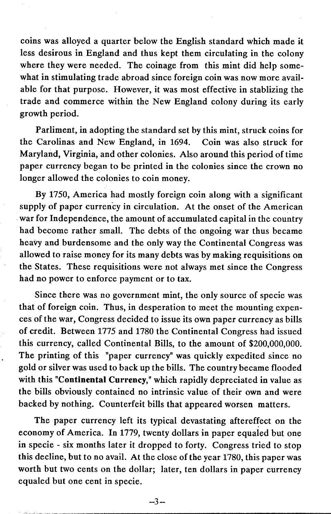coins was alloyed a quarter below the English standard which made it less desirous in England and thus kept them circulating in the colony where they were needed. The coinage from this mint did help somewhat in stimulating trade abroad since foreign coin was now more available for that purpose. However, it was most effective in stablizing the trade and commerce within the New England colony during its early growth period.

Parliment, in adopting the standard set by this mint, struck coins for the Carolinas and New England, in 1694. Coin was also struck for Maryland, Virginia, and other colonies. Also around this period of time paper currency began to be printed in the colonies since the crown no longer allowed the colonies to coin money.

By 1750, America had mostly foreign coin along with a significant supply of paper currency in circulation. At the onset of the American war for Independence, the amount of accumulated capital in the country had become rather small. The debts of the ongoing war thus became heavy and burdensome and the only way the Continental Congress was allowed to raise money for its many debts was by making requisitions on the States. These requisitions were not always met since the Congress had no power to enforce payment or to tax.

Since there was no government mint, the only source of specie was that of foreign coin. Thus, in desperation to meet the mounting expences of the war, Congress decided to issue its own paper currency as bills of credit. Between 1775 and 1780 the Continental Congress had issued this currency, called Continental Bills, to the amount of \$200,000,000. The printing of this "paper currency" was quickly expedited since no gold or silver was used to back up the bills. The country became flooded with this "Continental Currency," which rapidly depreciated in value as the bills obviously contained no intrinsic value of their own and were backed by nothing. Counterfeit bills that appeared worsen matters.

The paper currency left its typical devastating aftereffect on the economy of America. In 1779, twenty dollars in paper equaled but one in specie - six months later it dropped to forty. Congress tried to stop this decline, but to no avail. At the close of the year 1780, this paper was worth but two cents on the dollar; later, ten dollars in paper currency equaled but one cent in specie.

 $-3-$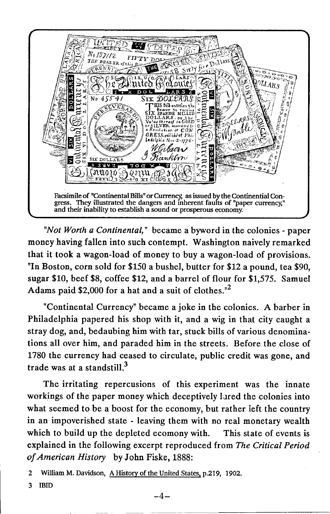

*"Not Worth a Continental,"* became a byword in the colonies - paper money having fallen into such contempt. Washington naively remarked that it took a wagon-load of money to buy a wagon-load of provisions. "In Boston, corn sold for \$150 a bushel, butter for \$12 a pound, tea \$90, sugar \$10, beef \$8, coffee \$12, and a barrel of flour for \$1,575. Samuel Adams paid \$2,000 for a hat and a suit of clothes. $n^2$ 

"Continental Currency" became a joke in the colonies. A barber in Philadelphia papered his shop with it, and a wig in that city caught a stray dog, and, bedaubing him with tar, stuck bills of various denominations all over him, and paraded him in the streets. Before the close of 1780 the currency had ceased to circulate, public credit was gone, and trade was at a standstill. $3$ 

The irritating repercusions of this experiment was the innate workings of the paper money which deceptively lared the colonies into what seemed to be a boost for the economy, but rather left the country in an impoverished state - leaving them with no real monetary wealth which to build up the depleted ecomony with. This state of events is explained in the following excerpt reproduced from *The Critical Period of American History* by John Fiske, 1888:

2 William M. Davidson, A History of the United States, p.219, 1902.

3 IBID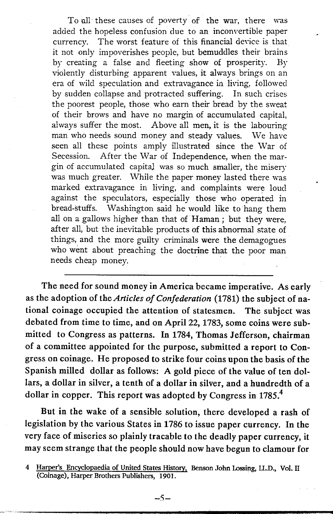To all these causes of poverty of the war, there was added the hopeless confusion due to an inconvertible paper currency. The worst feature of this financial device is that it not only impoverishes people, but bemuddles their brains by creating a false and fleeting show of prosperity. By violently disturbing apparent values, it always brings on an era of wild speculation and extravagance in living, followed by sudden collapse and protracted suffering. In such crises the poorest people, those who earn their bread by the sweat of their brows and have no margin of accumulated capital, always suffer the most. Above all men, it is the labouring man who needs sound money and steady values. We have seen all these points amply illustrated since the War of Secession. After the War of Independence, when the margin of accumulated capital was so much smaller, the misery was much greater. While the paper money lasted there was marked extravagance in living, and complaints were loud against the speculators, especially those who operated in bread-stuffs. Washington said he would like to hang them all on a gallows higher than that of Haman; but they were, after all, but the inevitable products of this abnormal state of things, and the more guilty criminals were the demagogues who went about preaching the doctrine that the poor man needs cheap money.

The need for sound money in America became imperative. As early as the adoption of the *Articles of Confederation* (1781) the subject of national coinage occupied the attention of statesmen. The subject was debated from time to time, and on April 22, 1783, some coins were submitted to Congress as patterns. In 1784, Thomas Jefferson, chairman of a committee appointed for the purpose, submitted a report to Congress on coinage. He proposed to strike four coins upon the basis of the Spanish milled dollar as follows: A gold piece of the value of ten dollars, a dollar in silver, a tenth of a dollar in silver, and a hundredth of a dollar in copper. This report was adopted by Congress in 1785.<sup>4</sup>

But in the wake of a sensible solution, there developed a rash of legislation by the various States in 1786 to issue paper currency. In the very face of miseries so plainly tracable to the deadly paper currency, it may seem strange that the people should now have begun to clamour for

<sup>4</sup> Harper's Encyclopaedia of United States History. Benson John Lossing, lL.D., Vol. II (Coinage), Harper Brothers Publishers, 1901.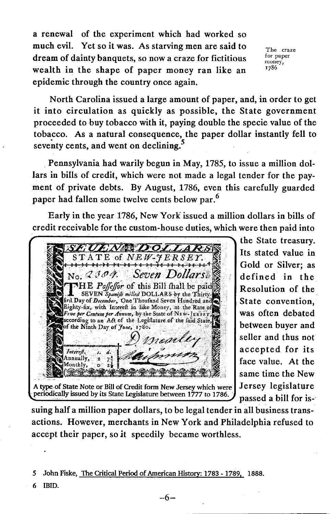a renewal of the experiment which had worked so much evil. Yet so it was. As starving men are said to dream of dainty banquets, so now a craze for fictitious wealth in the shape of paper money ran like an epidemic through the country once again.

The craze for paper money, 1786

North Carolina issued a large amount of paper, and, in order to get it into circulation as quickly as possible, the State government proceeded to buy tobacco with it, paying double the specie value of the tobacco. As a natural consequence, the paper dollar instantly fell to seventy cents, and went on declining.<sup>5</sup>

. Pennsylvania had warily begun in May, 1785, to issue a million dollars in bills of credit, which were not made a legal tender for the payment of private debts. By August, 1786, even this carefully guarded paper had fallen some twelve cents below par.<sup>6</sup>

Early in the year 1786, New York issued a million dollars in bills of credit receivable for the custom-house duties, which were then paid into



the State treasury. Its stated value in Gold or Silver; as defined in the Resolution of the State convention, was often debated between buyer and seller and thus not accepted for its face value. At the same time the New

suing half a million paper dollars, to be legal tender in all business transactions. However, merchants in New York and Philadelphia refused to accept their paper, so *it* speedily became worthless.

*S* John Fiske, The Critical Period of American History: 1783 -1789, 1888. 6 IBID.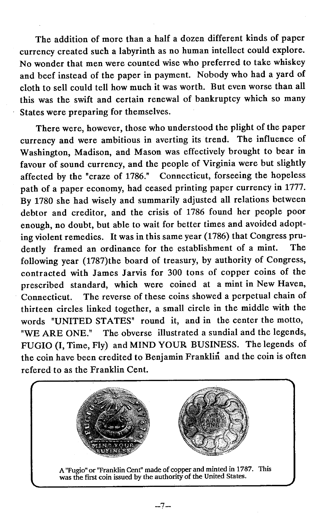The addition of more than a half a dozen different kinds of paper currency created such a labyrinth as no human intellect could explore. No wonder that men were counted wise who preferred to take whiskey and beef instead of the paper in payment. Nobody who had a yard of cloth to sell could tell how much it was worth. But even worse than all this was the swift and certain renewal of bankruptcy which so many States were preparing for themselves.

There were, however, those who understood the plight of the paper currency and were ambitious in averting its trend. The influence of Washington, Madison, and Mason was effectively brought to bear in favour of sound currency, and the people of Virginia were but slightly affected by the "craze of 1786." Connecticut, forseeing the hopeless path of a paper economy, had ceased printing paper currency in 1777. By 1780 she had wisely and summarily adjusted all relations between debtor and creditor, and the crisis of 1786 found her people poor enough, no doubt, but able to wait for better times and avoided adopting violent remedies. It was in this same year (1786) that Congress prudently framed an ordinance for the establishment of a mint. The following year (1787)the board of treasury, by authority of Congress, contracted with James Jarvis for 300 tons of copper coins of the prescribed standard, which were coined at a mint in New Haven, Connecticut. The reverse of these coins showed a perpetual chain of thirteen circles linked together, a small circle in the middle with the words "UNITED STATES" round it, and in the center the motto, "WE ARE ONE." The obverse illustrated a sundial and the legends, FUGIO (I, Time, Fly) and MIND YOUR BUSINESS. The legends of the coin have been credited to Benjamin Franklin and the coin is often refered to as the Franklin Cent.

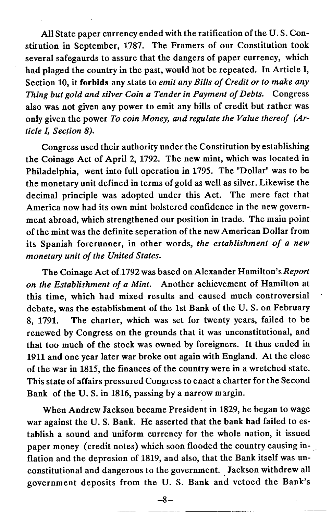All State paper currency ended with the ratification of the U. S. Constitution in September, 1787. The Framers of our Constitution took several safegaurds to assure that the dangers of paper currency, which had plaged the country in the past, would hot be repeated. In Article I, Section 10, it forbids any state to *emit any Bills of Credit or to make any Thing but gold and silver Coin a Tender in Payment of Debts.* Congress also was not given any power to emit any bills of credit but rather was only given the power *To coin Money, and regulate the Value thereof (Article l, Section 8).*

Congress used their authority under the Constitution by establishing the Coinage Act of April 2, 1792. The new mint, which was located in Philadelphia, went into full operation in 1795. The "Dollar" was to be the monetary unit defined in terms of gold as well as silver. Likewise the decimal principle was adopted under this Act. The mere fact that America now had its own mint bolstered confidence in the new government abroad, which strengthened our position in trade. The main point of the mint was the definite seperation of the new American Dollar from its Spanish forerunner, in other words, *the establishment of a new monetary unit of the United States.*

The Coinage Act of 1792was based on Alexander Hamilton's *Report on the Establishment of a Mint.* Another achievement of Hamilton at this time, which had mixed results and caused much controversial debate, was the establishment of the 1st Bank of the U. S. on February 8, 1791. The charter, which was set for twenty years, failed to be renewed by Congress on the grounds that it was unconstitutional, and that too much of the stock was owned by foreigners. It thus ended in 1911 and one year later war broke out again with England. At the close of the war in 1815, the finances of the country were in a wretched state. This state of affairs pressured Congress to enact a charter for the Second Bank of the U. S. in 1816, passing by a narrow margin.

When Andrew Jackson became President in 1829, he began to wage war against the U. S. Bank. He asserted that the bank had failed to establish a sound and uniform currency for the whole nation, it issued paper money (credit notes) which soon flooded the country causing inflation and the depresion of 1819, and also, that the Bank itself was unconstitutional and dangerous to the government. Jackson withdrew all government deposits from the U. S. Bank and vetoed the Bank's

 $-8-$